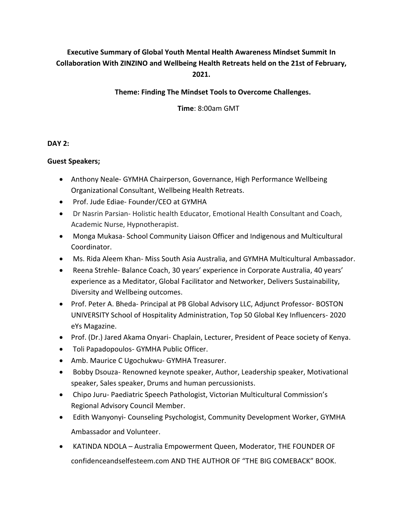# **Executive Summary of Global Youth Mental Health Awareness Mindset Summit In Collaboration With ZINZINO and Wellbeing Health Retreats held on the 21st of February, 2021.**

## **Theme: Finding The Mindset Tools to Overcome Challenges.**

 **Time**: 8:00am GMT

### **DAY 2:**

### **Guest Speakers;**

- Anthony Neale- GYMHA Chairperson, Governance, High Performance Wellbeing Organizational Consultant, Wellbeing Health Retreats.
- Prof. Jude Ediae- Founder/CEO at GYMHA
- Dr Nasrin Parsian- Holistic health Educator, Emotional Health Consultant and Coach, Academic Nurse, Hypnotherapist.
- Monga Mukasa- School Community Liaison Officer and Indigenous and Multicultural Coordinator.
- Ms. Rida Aleem Khan- Miss South Asia Australia, and GYMHA Multicultural Ambassador.
- Reena Strehle- Balance Coach, 30 years' experience in Corporate Australia, 40 years' experience as a Meditator, Global Facilitator and Networker, Delivers Sustainability, Diversity and Wellbeing outcomes.
- Prof. Peter A. Bheda- Principal at PB Global Advisory LLC, Adjunct Professor- BOSTON UNIVERSITY School of Hospitality Administration, Top 50 Global Key Influencers- 2020 eYs Magazine.
- Prof. (Dr.) Jared Akama Onyari- Chaplain, Lecturer, President of Peace society of Kenya.
- Toli Papadopoulos- GYMHA Public Officer.
- Amb. Maurice C Ugochukwu- GYMHA Treasurer.
- Bobby Dsouza- Renowned keynote speaker, Author, Leadership speaker, Motivational speaker, Sales speaker, Drums and human percussionists.
- Chipo Juru- Paediatric Speech Pathologist, Victorian Multicultural Commission's Regional Advisory Council Member.
- Edith Wanyonyi- Counseling Psychologist, Community Development Worker, GYMHA Ambassador and Volunteer.
- KATINDA NDOLA Australia Empowerment Queen, Moderator, THE FOUNDER OF confidenceandselfesteem.com AND THE AUTHOR OF "THE BIG COMEBACK" BOOK.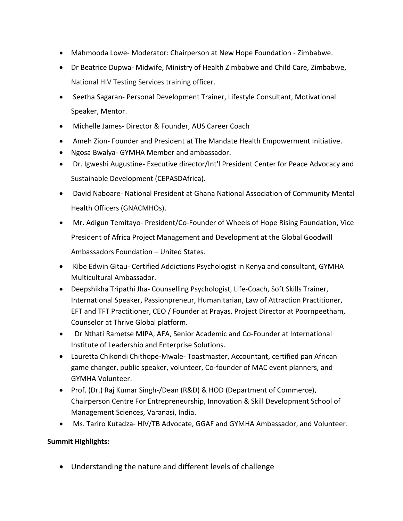- Mahmooda Lowe- Moderator: Chairperson at New Hope Foundation Zimbabwe.
- Dr Beatrice Dupwa- Midwife, Ministry of Health Zimbabwe and Child Care, Zimbabwe, National HIV Testing Services training officer.
- Seetha Sagaran- Personal Development Trainer, Lifestyle Consultant, Motivational Speaker, Mentor.
- Michelle James- Director & Founder, AUS Career Coach
- Ameh Zion- Founder and President at The Mandate Health Empowerment Initiative.
- Ngosa Bwalya- GYMHA Member and ambassador.
- Dr. Igweshi Augustine- Executive director/Int'l President Center for Peace Advocacy and Sustainable Development (CEPASDAfrica).
- David Naboare- National President at Ghana National Association of Community Mental Health Officers (GNACMHOs).
- Mr. Adigun Temitayo- President/Co-Founder of Wheels of Hope Rising Foundation, Vice President of Africa Project Management and Development at the Global Goodwill Ambassadors Foundation – United States.
- Kibe Edwin Gitau- Certified Addictions Psychologist in Kenya and consultant, GYMHA Multicultural Ambassador.
- Deepshikha Tripathi Jha- Counselling Psychologist, Life-Coach, Soft Skills Trainer, International Speaker, Passionpreneur, Humanitarian, Law of Attraction Practitioner, EFT and TFT Practitioner, CEO / Founder at Prayas, Project Director at Poornpeetham, Counselor at Thrive Global platform.
- Dr Nthati Rametse MIPA, AFA, Senior Academic and Co-Founder at International Institute of Leadership and Enterprise Solutions.
- Lauretta Chikondi Chithope-Mwale- Toastmaster, Accountant, certified pan African game changer, public speaker, volunteer, Co-founder of MAC event planners, and GYMHA Volunteer.
- Prof. (Dr.) Raj Kumar Singh-/Dean (R&D) & HOD (Department of Commerce), Chairperson Centre For Entrepreneurship, Innovation & Skill Development School of Management Sciences, Varanasi, India.
- Ms. Tariro Kutadza- HIV/TB Advocate, GGAF and GYMHA Ambassador, and Volunteer.

### **Summit Highlights:**

Understanding the nature and different levels of challenge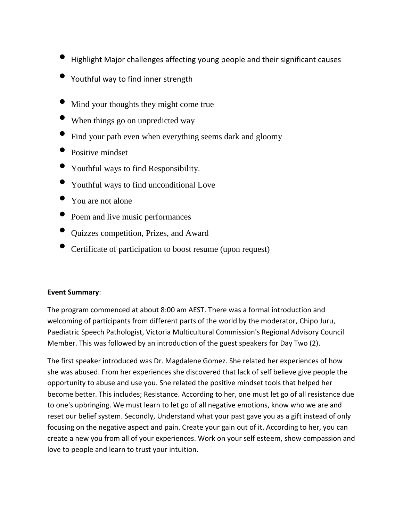- Highlight Major challenges affecting young people and their significant causes
- Youthful way to find inner strength
- Mind your thoughts they might come true
- When things go on unpredicted way
- Find your path even when everything seems dark and gloomy
- Positive mindset
- Youthful ways to find Responsibility.
- Youthful ways to find unconditional Love
- You are not alone
- Poem and live music performances
- Quizzes competition, Prizes, and Award
- Certificate of participation to boost resume (upon request)

### **Event Summary**:

The program commenced at about 8:00 am AEST. There was a formal introduction and welcoming of participants from different parts of the world by the moderator, Chipo Juru, Paediatric Speech Pathologist, Victoria Multicultural Commission's Regional Advisory Council Member. This was followed by an introduction of the guest speakers for Day Two (2).

The first speaker introduced was Dr. Magdalene Gomez. She related her experiences of how she was abused. From her experiences she discovered that lack of self believe give people the opportunity to abuse and use you. She related the positive mindset tools that helped her become better. This includes; Resistance. According to her, one must let go of all resistance due to one's upbringing. We must learn to let go of all negative emotions, know who we are and reset our belief system. Secondly, Understand what your past gave you as a gift instead of only focusing on the negative aspect and pain. Create your gain out of it. According to her, you can create a new you from all of your experiences. Work on your self esteem, show compassion and love to people and learn to trust your intuition.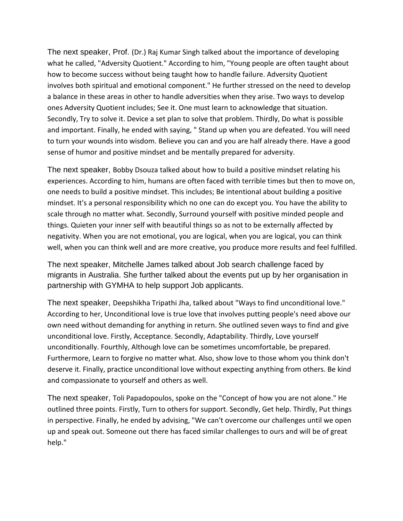The next speaker, Prof. (Dr.) Raj Kumar Singh talked about the importance of developing what he called, "Adversity Quotient." According to him, "Young people are often taught about how to become success without being taught how to handle failure. Adversity Quotient involves both spiritual and emotional component." He further stressed on the need to develop a balance in these areas in other to handle adversities when they arise. Two ways to develop ones Adversity Quotient includes; See it. One must learn to acknowledge that situation. Secondly, Try to solve it. Device a set plan to solve that problem. Thirdly, Do what is possible and important. Finally, he ended with saying, " Stand up when you are defeated. You will need to turn your wounds into wisdom. Believe you can and you are half already there. Have a good sense of humor and positive mindset and be mentally prepared for adversity.

The next speaker, Bobby Dsouza talked about how to build a positive mindset relating his experiences. According to him, humans are often faced with terrible times but then to move on, one needs to build a positive mindset. This includes; Be intentional about building a positive mindset. It's a personal responsibility which no one can do except you. You have the ability to scale through no matter what. Secondly, Surround yourself with positive minded people and things. Quieten your inner self with beautiful things so as not to be externally affected by negativity. When you are not emotional, you are logical, when you are logical, you can think well, when you can think well and are more creative, you produce more results and feel fulfilled.

The next speaker, Mitchelle James talked about Job search challenge faced by migrants in Australia. She further talked about the events put up by her organisation in partnership with GYMHA to help support Job applicants.

The next speaker, Deepshikha Tripathi Jha, talked about "Ways to find unconditional love." According to her, Unconditional love is true love that involves putting people's need above our own need without demanding for anything in return. She outlined seven ways to find and give unconditional love. Firstly, Acceptance. Secondly, Adaptability. Thirdly, Love yourself unconditionally. Fourthly, Although love can be sometimes uncomfortable, be prepared. Furthermore, Learn to forgive no matter what. Also, show love to those whom you think don't deserve it. Finally, practice unconditional love without expecting anything from others. Be kind and compassionate to yourself and others as well.

The next speaker, Toli Papadopoulos, spoke on the "Concept of how you are not alone." He outlined three points. Firstly, Turn to others for support. Secondly, Get help. Thirdly, Put things in perspective. Finally, he ended by advising, "We can't overcome our challenges until we open up and speak out. Someone out there has faced similar challenges to ours and will be of great help."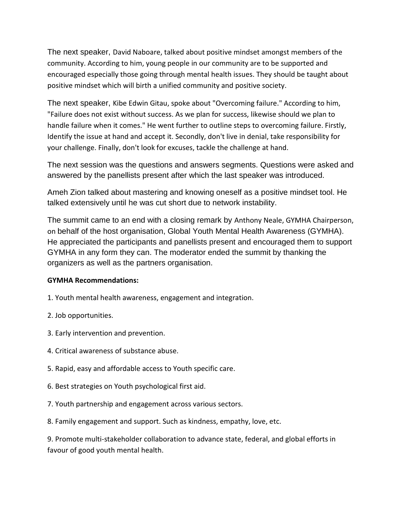The next speaker, David Naboare, talked about positive mindset amongst members of the community. According to him, young people in our community are to be supported and encouraged especially those going through mental health issues. They should be taught about positive mindset which will birth a unified community and positive society.

The next speaker, Kibe Edwin Gitau, spoke about "Overcoming failure." According to him, "Failure does not exist without success. As we plan for success, likewise should we plan to handle failure when it comes." He went further to outline steps to overcoming failure. Firstly, Identify the issue at hand and accept it. Secondly, don't live in denial, take responsibility for your challenge. Finally, don't look for excuses, tackle the challenge at hand.

The next session was the questions and answers segments. Questions were asked and answered by the panellists present after which the last speaker was introduced.

Ameh Zion talked about mastering and knowing oneself as a positive mindset tool. He talked extensively until he was cut short due to network instability.

The summit came to an end with a closing remark by Anthony Neale, GYMHA Chairperson, on behalf of the host organisation, Global Youth Mental Health Awareness (GYMHA). He appreciated the participants and panellists present and encouraged them to support GYMHA in any form they can. The moderator ended the summit by thanking the organizers as well as the partners organisation.

### **GYMHA Recommendations:**

- 1. Youth mental health awareness, engagement and integration.
- 2. Job opportunities.
- 3. Early intervention and prevention.
- 4. Critical awareness of substance abuse.
- 5. Rapid, easy and affordable access to Youth specific care.
- 6. Best strategies on Youth psychological first aid.
- 7. Youth partnership and engagement across various sectors.
- 8. Family engagement and support. Such as kindness, empathy, love, etc.

9. Promote multi-stakeholder collaboration to advance state, federal, and global efforts in favour of good youth mental health.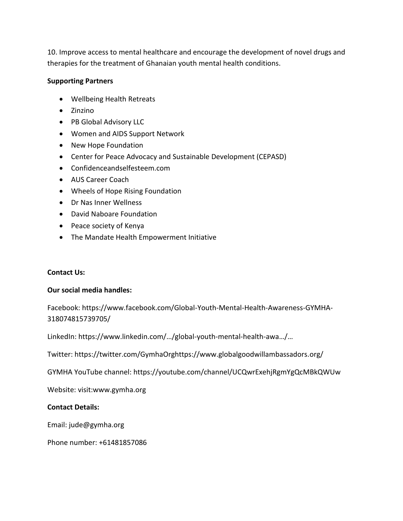10. Improve access to mental healthcare and encourage the development of novel drugs and therapies for the treatment of Ghanaian youth mental health conditions.

### **Supporting Partners**

- Wellbeing Health Retreats
- Zinzino
- PB Global Advisory LLC
- Women and AIDS Support Network
- New Hope Foundation
- Center for Peace Advocacy and Sustainable Development (CEPASD)
- Confidenceandselfesteem.com
- AUS Career Coach
- Wheels of Hope Rising Foundation
- Dr Nas Inner Wellness
- David Naboare Foundation
- Peace society of Kenya
- The Mandate Health Empowerment Initiative

### **Contact Us:**

### **Our social media handles:**

Facebook: https://www.facebook.com/Global-Youth-Mental-Health-Awareness-GYMHA-318074815739705/

LinkedIn: https://www.linkedin.com/…/global-youth-mental-health-awa…/…

Twitter: https://twitter.com/GymhaOrghttps://www.globalgoodwillambassadors.org/

GYMHA YouTube channel: https://youtube.com/channel/UCQwrExehjRgmYgQcMBkQWUw

Website: visit:www.gymha.org

### **Contact Details:**

Email: jude@gymha.org

Phone number: +61481857086